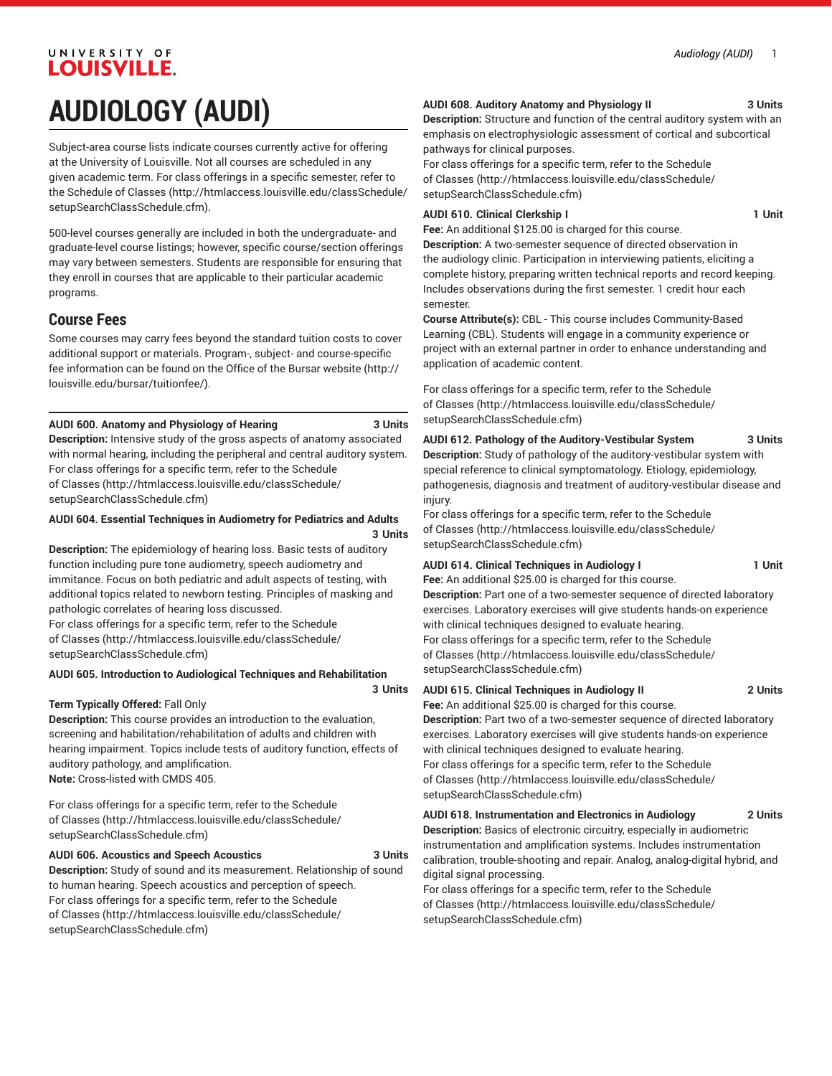# UNIVERSITY OF **LOUISVILLE. AUDIOLOGY (AUDI)**

Subject-area course lists indicate courses currently active for offering at the University of Louisville. Not all courses are scheduled in any given academic term. For class offerings in a specific semester, refer to the [Schedule of Classes](http://htmlaccess.louisville.edu/classSchedule/setupSearchClassSchedule.cfm) ([http://htmlaccess.louisville.edu/classSchedule/](http://htmlaccess.louisville.edu/classSchedule/setupSearchClassSchedule.cfm) [setupSearchClassSchedule.cfm\)](http://htmlaccess.louisville.edu/classSchedule/setupSearchClassSchedule.cfm).

500-level courses generally are included in both the undergraduate- and graduate-level course listings; however, specific course/section offerings may vary between semesters. Students are responsible for ensuring that they enroll in courses that are applicable to their particular academic programs.

### **Course Fees**

Some courses may carry fees beyond the standard tuition costs to cover additional support or materials. Program-, subject- and course-specific fee information can be found on the [Office of the Bursar website](http://louisville.edu/bursar/tuitionfee/) ([http://](http://louisville.edu/bursar/tuitionfee/) [louisville.edu/bursar/tuitionfee/](http://louisville.edu/bursar/tuitionfee/)).

#### **AUDI 600. Anatomy and Physiology of Hearing 3 Units**

**Description:** Intensive study of the gross aspects of anatomy associated with normal hearing, including the peripheral and central auditory system. For class offerings for a specific term, refer to the [Schedule](http://htmlaccess.louisville.edu/classSchedule/setupSearchClassSchedule.cfm) [of Classes \(http://htmlaccess.louisville.edu/classSchedule/](http://htmlaccess.louisville.edu/classSchedule/setupSearchClassSchedule.cfm) [setupSearchClassSchedule.cfm\)](http://htmlaccess.louisville.edu/classSchedule/setupSearchClassSchedule.cfm)

#### **AUDI 604. Essential Techniques in Audiometry for Pediatrics and Adults 3 Units**

**Description:** The epidemiology of hearing loss. Basic tests of auditory function including pure tone audiometry, speech audiometry and immitance. Focus on both pediatric and adult aspects of testing, with additional topics related to newborn testing. Principles of masking and pathologic correlates of hearing loss discussed. For class offerings for a specific term, refer to the [Schedule](http://htmlaccess.louisville.edu/classSchedule/setupSearchClassSchedule.cfm)

[of Classes \(http://htmlaccess.louisville.edu/classSchedule/](http://htmlaccess.louisville.edu/classSchedule/setupSearchClassSchedule.cfm) [setupSearchClassSchedule.cfm\)](http://htmlaccess.louisville.edu/classSchedule/setupSearchClassSchedule.cfm)

#### **AUDI 605. Introduction to Audiological Techniques and Rehabilitation**

#### **Term Typically Offered:** Fall Only

**Description:** This course provides an introduction to the evaluation, screening and habilitation/rehabilitation of adults and children with hearing impairment. Topics include tests of auditory function, effects of auditory pathology, and amplification. **Note:** Cross-listed with CMDS 405.

For class offerings for a specific term, refer to the [Schedule](http://htmlaccess.louisville.edu/classSchedule/setupSearchClassSchedule.cfm) [of Classes \(http://htmlaccess.louisville.edu/classSchedule/](http://htmlaccess.louisville.edu/classSchedule/setupSearchClassSchedule.cfm) [setupSearchClassSchedule.cfm\)](http://htmlaccess.louisville.edu/classSchedule/setupSearchClassSchedule.cfm)

#### **AUDI 606. Acoustics and Speech Acoustics 3 Units**

**Description:** Study of sound and its measurement. Relationship of sound to human hearing. Speech acoustics and perception of speech. For class offerings for a specific term, refer to the [Schedule](http://htmlaccess.louisville.edu/classSchedule/setupSearchClassSchedule.cfm) [of Classes \(http://htmlaccess.louisville.edu/classSchedule/](http://htmlaccess.louisville.edu/classSchedule/setupSearchClassSchedule.cfm) [setupSearchClassSchedule.cfm\)](http://htmlaccess.louisville.edu/classSchedule/setupSearchClassSchedule.cfm)

#### **AUDI 608. Auditory Anatomy and Physiology II 3 Units**

**Description:** Structure and function of the central auditory system with an emphasis on electrophysiologic assessment of cortical and subcortical pathways for clinical purposes.

For class offerings for a specific term, refer to the [Schedule](http://htmlaccess.louisville.edu/classSchedule/setupSearchClassSchedule.cfm) [of Classes](http://htmlaccess.louisville.edu/classSchedule/setupSearchClassSchedule.cfm) ([http://htmlaccess.louisville.edu/classSchedule/](http://htmlaccess.louisville.edu/classSchedule/setupSearchClassSchedule.cfm) [setupSearchClassSchedule.cfm\)](http://htmlaccess.louisville.edu/classSchedule/setupSearchClassSchedule.cfm)

#### **AUDI 610. Clinical Clerkship I 1 Unit**

**Fee:** An additional \$125.00 is charged for this course.

**Description:** A two-semester sequence of directed observation in the audiology clinic. Participation in interviewing patients, eliciting a complete history, preparing written technical reports and record keeping. Includes observations during the first semester. 1 credit hour each semester.

**Course Attribute(s):** CBL - This course includes Community-Based Learning (CBL). Students will engage in a community experience or project with an external partner in order to enhance understanding and application of academic content.

For class offerings for a specific term, refer to the [Schedule](http://htmlaccess.louisville.edu/classSchedule/setupSearchClassSchedule.cfm) [of Classes](http://htmlaccess.louisville.edu/classSchedule/setupSearchClassSchedule.cfm) ([http://htmlaccess.louisville.edu/classSchedule/](http://htmlaccess.louisville.edu/classSchedule/setupSearchClassSchedule.cfm) [setupSearchClassSchedule.cfm\)](http://htmlaccess.louisville.edu/classSchedule/setupSearchClassSchedule.cfm)

**AUDI 612. Pathology of the Auditory-Vestibular System 3 Units Description:** Study of pathology of the auditory-vestibular system with special reference to clinical symptomatology. Etiology, epidemiology, pathogenesis, diagnosis and treatment of auditory-vestibular disease and injury.

For class offerings for a specific term, refer to the [Schedule](http://htmlaccess.louisville.edu/classSchedule/setupSearchClassSchedule.cfm) [of Classes](http://htmlaccess.louisville.edu/classSchedule/setupSearchClassSchedule.cfm) ([http://htmlaccess.louisville.edu/classSchedule/](http://htmlaccess.louisville.edu/classSchedule/setupSearchClassSchedule.cfm) [setupSearchClassSchedule.cfm\)](http://htmlaccess.louisville.edu/classSchedule/setupSearchClassSchedule.cfm)

#### **AUDI 614. Clinical Techniques in Audiology I 1 Unit**

**Fee:** An additional \$25.00 is charged for this course. **Description:** Part one of a two-semester sequence of directed laboratory exercises. Laboratory exercises will give students hands-on experience with clinical techniques designed to evaluate hearing. For class offerings for a specific term, refer to the [Schedule](http://htmlaccess.louisville.edu/classSchedule/setupSearchClassSchedule.cfm) [of Classes](http://htmlaccess.louisville.edu/classSchedule/setupSearchClassSchedule.cfm) ([http://htmlaccess.louisville.edu/classSchedule/](http://htmlaccess.louisville.edu/classSchedule/setupSearchClassSchedule.cfm) [setupSearchClassSchedule.cfm\)](http://htmlaccess.louisville.edu/classSchedule/setupSearchClassSchedule.cfm)

### **AUDI 615. Clinical Techniques in Audiology II 2 Units**

**3 Units**

**Fee:** An additional \$25.00 is charged for this course. **Description:** Part two of a two-semester sequence of directed laboratory exercises. Laboratory exercises will give students hands-on experience with clinical techniques designed to evaluate hearing. For class offerings for a specific term, refer to the [Schedule](http://htmlaccess.louisville.edu/classSchedule/setupSearchClassSchedule.cfm) [of Classes](http://htmlaccess.louisville.edu/classSchedule/setupSearchClassSchedule.cfm) ([http://htmlaccess.louisville.edu/classSchedule/](http://htmlaccess.louisville.edu/classSchedule/setupSearchClassSchedule.cfm) [setupSearchClassSchedule.cfm\)](http://htmlaccess.louisville.edu/classSchedule/setupSearchClassSchedule.cfm)

**AUDI 618. Instrumentation and Electronics in Audiology 2 Units Description:** Basics of electronic circuitry, especially in audiometric instrumentation and amplification systems. Includes instrumentation calibration, trouble-shooting and repair. Analog, analog-digital hybrid, and digital signal processing.

For class offerings for a specific term, refer to the [Schedule](http://htmlaccess.louisville.edu/classSchedule/setupSearchClassSchedule.cfm) [of Classes](http://htmlaccess.louisville.edu/classSchedule/setupSearchClassSchedule.cfm) ([http://htmlaccess.louisville.edu/classSchedule/](http://htmlaccess.louisville.edu/classSchedule/setupSearchClassSchedule.cfm) [setupSearchClassSchedule.cfm\)](http://htmlaccess.louisville.edu/classSchedule/setupSearchClassSchedule.cfm)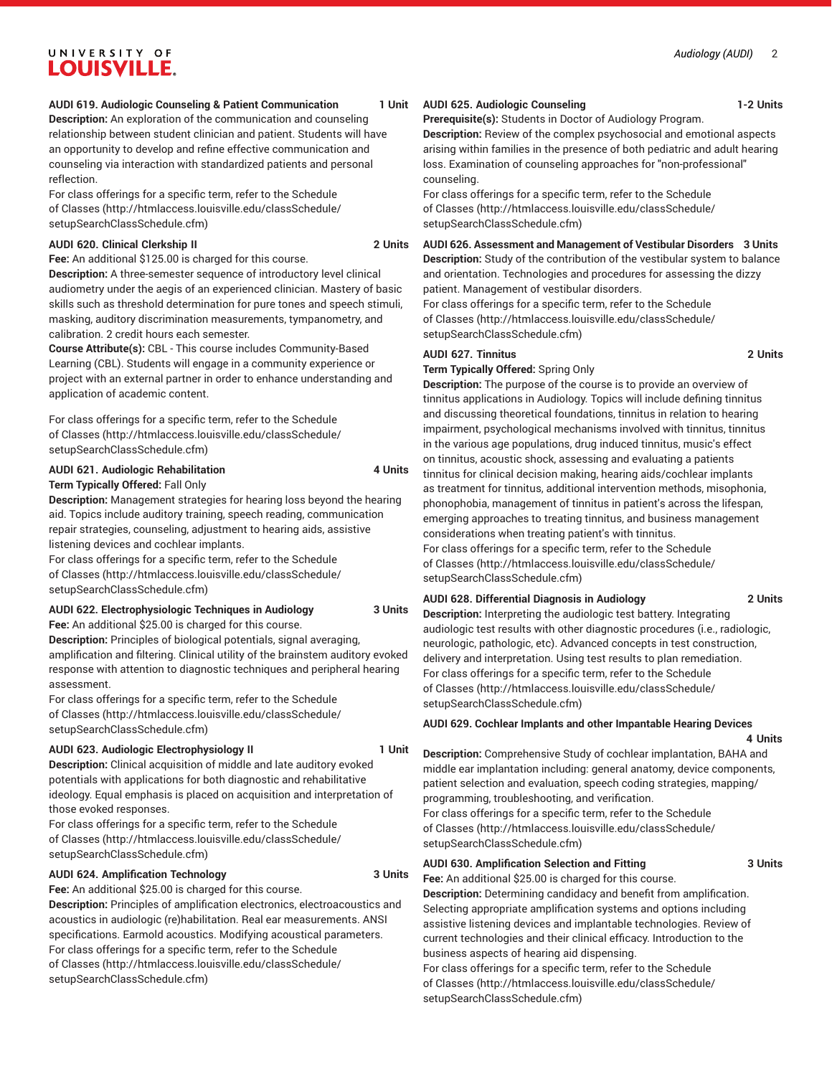## UNIVERSITY OF LOUISVILLE.

#### **AUDI 619. Audiologic Counseling & Patient Communication 1 Unit**

**Description:** An exploration of the communication and counseling relationship between student clinician and patient. Students will have an opportunity to develop and refine effective communication and counseling via interaction with standardized patients and personal reflection.

For class offerings for a specific term, refer to the [Schedule](http://htmlaccess.louisville.edu/classSchedule/setupSearchClassSchedule.cfm) [of Classes \(http://htmlaccess.louisville.edu/classSchedule/](http://htmlaccess.louisville.edu/classSchedule/setupSearchClassSchedule.cfm) [setupSearchClassSchedule.cfm\)](http://htmlaccess.louisville.edu/classSchedule/setupSearchClassSchedule.cfm)

#### **AUDI 620. Clinical Clerkship II 2 Units**

**Fee:** An additional \$125.00 is charged for this course.

**Description:** A three-semester sequence of introductory level clinical audiometry under the aegis of an experienced clinician. Mastery of basic skills such as threshold determination for pure tones and speech stimuli, masking, auditory discrimination measurements, tympanometry, and calibration. 2 credit hours each semester.

**Course Attribute(s):** CBL - This course includes Community-Based Learning (CBL). Students will engage in a community experience or project with an external partner in order to enhance understanding and application of academic content.

For class offerings for a specific term, refer to the [Schedule](http://htmlaccess.louisville.edu/classSchedule/setupSearchClassSchedule.cfm) [of Classes \(http://htmlaccess.louisville.edu/classSchedule/](http://htmlaccess.louisville.edu/classSchedule/setupSearchClassSchedule.cfm) [setupSearchClassSchedule.cfm\)](http://htmlaccess.louisville.edu/classSchedule/setupSearchClassSchedule.cfm)

#### **AUDI 621. Audiologic Rehabilitation 4 Units Term Typically Offered:** Fall Only

**Description:** Management strategies for hearing loss beyond the hearing aid. Topics include auditory training, speech reading, communication repair strategies, counseling, adjustment to hearing aids, assistive listening devices and cochlear implants.

For class offerings for a specific term, refer to the [Schedule](http://htmlaccess.louisville.edu/classSchedule/setupSearchClassSchedule.cfm) [of Classes \(http://htmlaccess.louisville.edu/classSchedule/](http://htmlaccess.louisville.edu/classSchedule/setupSearchClassSchedule.cfm) [setupSearchClassSchedule.cfm\)](http://htmlaccess.louisville.edu/classSchedule/setupSearchClassSchedule.cfm)

#### **AUDI 622. Electrophysiologic Techniques in Audiology 3 Units**

**Fee:** An additional \$25.00 is charged for this course.

**Description:** Principles of biological potentials, signal averaging, amplification and filtering. Clinical utility of the brainstem auditory evoked response with attention to diagnostic techniques and peripheral hearing assessment.

For class offerings for a specific term, refer to the [Schedule](http://htmlaccess.louisville.edu/classSchedule/setupSearchClassSchedule.cfm) [of Classes \(http://htmlaccess.louisville.edu/classSchedule/](http://htmlaccess.louisville.edu/classSchedule/setupSearchClassSchedule.cfm) [setupSearchClassSchedule.cfm\)](http://htmlaccess.louisville.edu/classSchedule/setupSearchClassSchedule.cfm)

#### **AUDI 623. Audiologic Electrophysiology II** 1 Unit

**Description:** Clinical acquisition of middle and late auditory evoked potentials with applications for both diagnostic and rehabilitative ideology. Equal emphasis is placed on acquisition and interpretation of those evoked responses.

For class offerings for a specific term, refer to the [Schedule](http://htmlaccess.louisville.edu/classSchedule/setupSearchClassSchedule.cfm) [of Classes \(http://htmlaccess.louisville.edu/classSchedule/](http://htmlaccess.louisville.edu/classSchedule/setupSearchClassSchedule.cfm) [setupSearchClassSchedule.cfm\)](http://htmlaccess.louisville.edu/classSchedule/setupSearchClassSchedule.cfm)

#### **AUDI 624. Amplification Technology 3 Units**

**Fee:** An additional \$25.00 is charged for this course.

**Description:** Principles of amplification electronics, electroacoustics and acoustics in audiologic (re)habilitation. Real ear measurements. ANSI specifications. Earmold acoustics. Modifying acoustical parameters. For class offerings for a specific term, refer to the [Schedule](http://htmlaccess.louisville.edu/classSchedule/setupSearchClassSchedule.cfm) [of Classes \(http://htmlaccess.louisville.edu/classSchedule/](http://htmlaccess.louisville.edu/classSchedule/setupSearchClassSchedule.cfm) [setupSearchClassSchedule.cfm\)](http://htmlaccess.louisville.edu/classSchedule/setupSearchClassSchedule.cfm)

#### **AUDI 625. Audiologic Counseling 1-2 Units**

**Prerequisite(s):** Students in Doctor of Audiology Program.

**Description:** Review of the complex psychosocial and emotional aspects arising within families in the presence of both pediatric and adult hearing loss. Examination of counseling approaches for "non-professional" counseling.

For class offerings for a specific term, refer to the [Schedule](http://htmlaccess.louisville.edu/classSchedule/setupSearchClassSchedule.cfm) [of Classes](http://htmlaccess.louisville.edu/classSchedule/setupSearchClassSchedule.cfm) ([http://htmlaccess.louisville.edu/classSchedule/](http://htmlaccess.louisville.edu/classSchedule/setupSearchClassSchedule.cfm) [setupSearchClassSchedule.cfm\)](http://htmlaccess.louisville.edu/classSchedule/setupSearchClassSchedule.cfm)

**AUDI 626. Assessment and Management of Vestibular Disorders 3 Units Description:** Study of the contribution of the vestibular system to balance and orientation. Technologies and procedures for assessing the dizzy patient. Management of vestibular disorders. For class offerings for a specific term, refer to the [Schedule](http://htmlaccess.louisville.edu/classSchedule/setupSearchClassSchedule.cfm)

[of Classes](http://htmlaccess.louisville.edu/classSchedule/setupSearchClassSchedule.cfm) ([http://htmlaccess.louisville.edu/classSchedule/](http://htmlaccess.louisville.edu/classSchedule/setupSearchClassSchedule.cfm) [setupSearchClassSchedule.cfm\)](http://htmlaccess.louisville.edu/classSchedule/setupSearchClassSchedule.cfm)

### **AUDI 627. Tinnitus 2 Units**

**Term Typically Offered:** Spring Only

**Description:** The purpose of the course is to provide an overview of tinnitus applications in Audiology. Topics will include defining tinnitus and discussing theoretical foundations, tinnitus in relation to hearing impairment, psychological mechanisms involved with tinnitus, tinnitus in the various age populations, drug induced tinnitus, music's effect on tinnitus, acoustic shock, assessing and evaluating a patients tinnitus for clinical decision making, hearing aids/cochlear implants as treatment for tinnitus, additional intervention methods, misophonia, phonophobia, management of tinnitus in patient's across the lifespan, emerging approaches to treating tinnitus, and business management considerations when treating patient's with tinnitus. For class offerings for a specific term, refer to the [Schedule](http://htmlaccess.louisville.edu/classSchedule/setupSearchClassSchedule.cfm) [of Classes](http://htmlaccess.louisville.edu/classSchedule/setupSearchClassSchedule.cfm) ([http://htmlaccess.louisville.edu/classSchedule/](http://htmlaccess.louisville.edu/classSchedule/setupSearchClassSchedule.cfm) [setupSearchClassSchedule.cfm\)](http://htmlaccess.louisville.edu/classSchedule/setupSearchClassSchedule.cfm)

#### **AUDI 628. Differential Diagnosis in Audiology 2 Units**

**Description:** Interpreting the audiologic test battery. Integrating audiologic test results with other diagnostic procedures (i.e., radiologic, neurologic, pathologic, etc). Advanced concepts in test construction, delivery and interpretation. Using test results to plan remediation. For class offerings for a specific term, refer to the [Schedule](http://htmlaccess.louisville.edu/classSchedule/setupSearchClassSchedule.cfm) [of Classes](http://htmlaccess.louisville.edu/classSchedule/setupSearchClassSchedule.cfm) ([http://htmlaccess.louisville.edu/classSchedule/](http://htmlaccess.louisville.edu/classSchedule/setupSearchClassSchedule.cfm) [setupSearchClassSchedule.cfm\)](http://htmlaccess.louisville.edu/classSchedule/setupSearchClassSchedule.cfm)

**AUDI 629. Cochlear Implants and other Impantable Hearing Devices**

#### **4 Units**

**Description:** Comprehensive Study of cochlear implantation, BAHA and middle ear implantation including: general anatomy, device components, patient selection and evaluation, speech coding strategies, mapping/ programming, troubleshooting, and verification. For class offerings for a specific term, refer to the [Schedule](http://htmlaccess.louisville.edu/classSchedule/setupSearchClassSchedule.cfm) [of Classes](http://htmlaccess.louisville.edu/classSchedule/setupSearchClassSchedule.cfm) ([http://htmlaccess.louisville.edu/classSchedule/](http://htmlaccess.louisville.edu/classSchedule/setupSearchClassSchedule.cfm)

[setupSearchClassSchedule.cfm\)](http://htmlaccess.louisville.edu/classSchedule/setupSearchClassSchedule.cfm)

#### **AUDI 630. Amplification Selection and Fitting 3 Units**

**Fee:** An additional \$25.00 is charged for this course. **Description:** Determining candidacy and benefit from amplification. Selecting appropriate amplification systems and options including assistive listening devices and implantable technologies. Review of current technologies and their clinical efficacy. Introduction to the business aspects of hearing aid dispensing.

For class offerings for a specific term, refer to the [Schedule](http://htmlaccess.louisville.edu/classSchedule/setupSearchClassSchedule.cfm) [of Classes](http://htmlaccess.louisville.edu/classSchedule/setupSearchClassSchedule.cfm) ([http://htmlaccess.louisville.edu/classSchedule/](http://htmlaccess.louisville.edu/classSchedule/setupSearchClassSchedule.cfm) [setupSearchClassSchedule.cfm\)](http://htmlaccess.louisville.edu/classSchedule/setupSearchClassSchedule.cfm)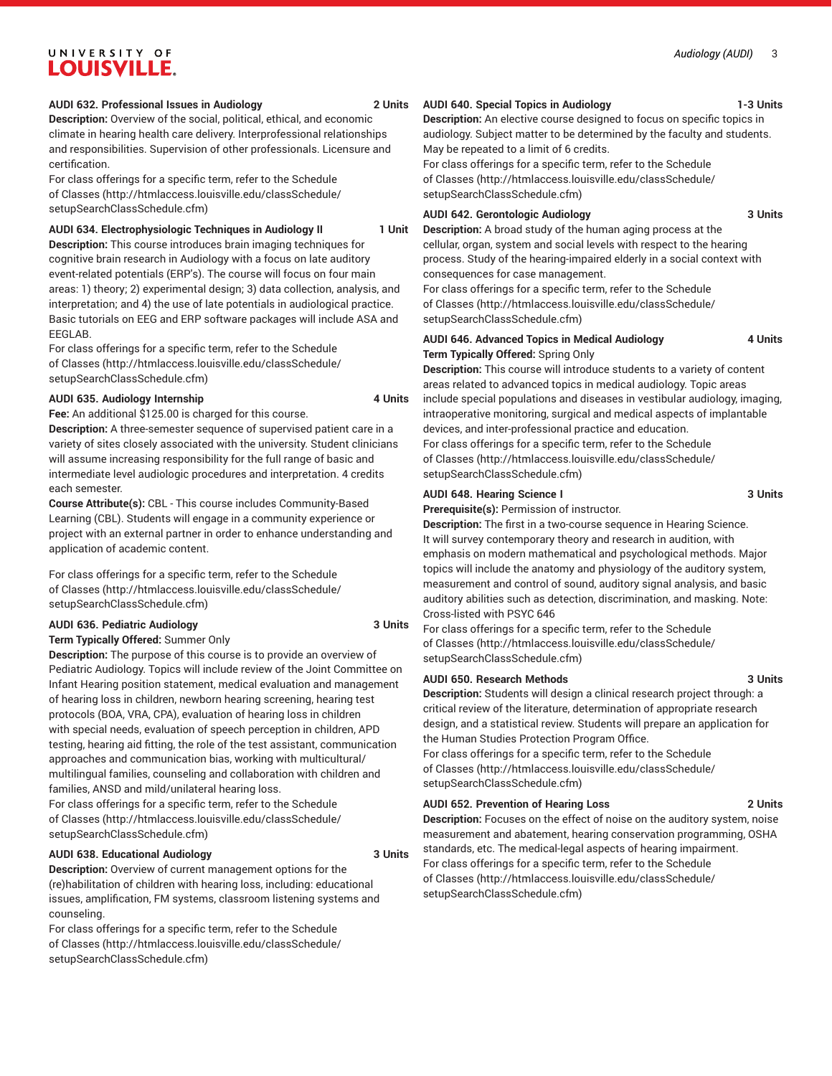#### *Audiology (AUDI)* 3

## UNIVERSITY OF LOUISVILLE.

#### **AUDI 632. Professional Issues in Audiology 2 Units**

**Description:** Overview of the social, political, ethical, and economic climate in hearing health care delivery. Interprofessional relationships and responsibilities. Supervision of other professionals. Licensure and certification.

For class offerings for a specific term, refer to the [Schedule](http://htmlaccess.louisville.edu/classSchedule/setupSearchClassSchedule.cfm) [of Classes \(http://htmlaccess.louisville.edu/classSchedule/](http://htmlaccess.louisville.edu/classSchedule/setupSearchClassSchedule.cfm) [setupSearchClassSchedule.cfm\)](http://htmlaccess.louisville.edu/classSchedule/setupSearchClassSchedule.cfm)

#### **AUDI 634. Electrophysiologic Techniques in Audiology II 1 Unit**

**Description:** This course introduces brain imaging techniques for cognitive brain research in Audiology with a focus on late auditory event-related potentials (ERP's). The course will focus on four main areas: 1) theory; 2) experimental design; 3) data collection, analysis, and interpretation; and 4) the use of late potentials in audiological practice. Basic tutorials on EEG and ERP software packages will include ASA and EEGLAB.

For class offerings for a specific term, refer to the [Schedule](http://htmlaccess.louisville.edu/classSchedule/setupSearchClassSchedule.cfm) [of Classes \(http://htmlaccess.louisville.edu/classSchedule/](http://htmlaccess.louisville.edu/classSchedule/setupSearchClassSchedule.cfm) [setupSearchClassSchedule.cfm\)](http://htmlaccess.louisville.edu/classSchedule/setupSearchClassSchedule.cfm)

#### **AUDI 635. Audiology Internship 4 Units**

**Fee:** An additional \$125.00 is charged for this course.

**Description:** A three-semester sequence of supervised patient care in a variety of sites closely associated with the university. Student clinicians will assume increasing responsibility for the full range of basic and intermediate level audiologic procedures and interpretation. 4 credits each semester.

**Course Attribute(s):** CBL - This course includes Community-Based Learning (CBL). Students will engage in a community experience or project with an external partner in order to enhance understanding and application of academic content.

For class offerings for a specific term, refer to the [Schedule](http://htmlaccess.louisville.edu/classSchedule/setupSearchClassSchedule.cfm) [of Classes \(http://htmlaccess.louisville.edu/classSchedule/](http://htmlaccess.louisville.edu/classSchedule/setupSearchClassSchedule.cfm) [setupSearchClassSchedule.cfm\)](http://htmlaccess.louisville.edu/classSchedule/setupSearchClassSchedule.cfm)

#### **AUDI 636. Pediatric Audiology 3 Units**

**Term Typically Offered:** Summer Only

**Description:** The purpose of this course is to provide an overview of Pediatric Audiology. Topics will include review of the Joint Committee on Infant Hearing position statement, medical evaluation and management of hearing loss in children, newborn hearing screening, hearing test protocols (BOA, VRA, CPA), evaluation of hearing loss in children with special needs, evaluation of speech perception in children, APD testing, hearing aid fitting, the role of the test assistant, communication approaches and communication bias, working with multicultural/ multilingual families, counseling and collaboration with children and families, ANSD and mild/unilateral hearing loss.

For class offerings for a specific term, refer to the [Schedule](http://htmlaccess.louisville.edu/classSchedule/setupSearchClassSchedule.cfm) [of Classes \(http://htmlaccess.louisville.edu/classSchedule/](http://htmlaccess.louisville.edu/classSchedule/setupSearchClassSchedule.cfm) [setupSearchClassSchedule.cfm\)](http://htmlaccess.louisville.edu/classSchedule/setupSearchClassSchedule.cfm)

#### **AUDI 638. Educational Audiology 3 Units**

**Description:** Overview of current management options for the (re)habilitation of children with hearing loss, including: educational issues, amplification, FM systems, classroom listening systems and counseling.

For class offerings for a specific term, refer to the [Schedule](http://htmlaccess.louisville.edu/classSchedule/setupSearchClassSchedule.cfm) [of Classes \(http://htmlaccess.louisville.edu/classSchedule/](http://htmlaccess.louisville.edu/classSchedule/setupSearchClassSchedule.cfm) [setupSearchClassSchedule.cfm\)](http://htmlaccess.louisville.edu/classSchedule/setupSearchClassSchedule.cfm)

### **AUDI 640. Special Topics in Audiology 1-3 Units**

**Description:** An elective course designed to focus on specific topics in audiology. Subject matter to be determined by the faculty and students. May be repeated to a limit of 6 credits.

For class offerings for a specific term, refer to the [Schedule](http://htmlaccess.louisville.edu/classSchedule/setupSearchClassSchedule.cfm) [of Classes](http://htmlaccess.louisville.edu/classSchedule/setupSearchClassSchedule.cfm) ([http://htmlaccess.louisville.edu/classSchedule/](http://htmlaccess.louisville.edu/classSchedule/setupSearchClassSchedule.cfm) [setupSearchClassSchedule.cfm\)](http://htmlaccess.louisville.edu/classSchedule/setupSearchClassSchedule.cfm)

#### **AUDI 642. Gerontologic Audiology 3 Units**

**Description:** A broad study of the human aging process at the cellular, organ, system and social levels with respect to the hearing process. Study of the hearing-impaired elderly in a social context with consequences for case management.

For class offerings for a specific term, refer to the [Schedule](http://htmlaccess.louisville.edu/classSchedule/setupSearchClassSchedule.cfm) [of Classes](http://htmlaccess.louisville.edu/classSchedule/setupSearchClassSchedule.cfm) ([http://htmlaccess.louisville.edu/classSchedule/](http://htmlaccess.louisville.edu/classSchedule/setupSearchClassSchedule.cfm) [setupSearchClassSchedule.cfm\)](http://htmlaccess.louisville.edu/classSchedule/setupSearchClassSchedule.cfm)

### **AUDI 646. Advanced Topics in Medical Audiology 4 Units Term Typically Offered:** Spring Only

**Description:** This course will introduce students to a variety of content areas related to advanced topics in medical audiology. Topic areas include special populations and diseases in vestibular audiology, imaging, intraoperative monitoring, surgical and medical aspects of implantable devices, and inter-professional practice and education. For class offerings for a specific term, refer to the [Schedule](http://htmlaccess.louisville.edu/classSchedule/setupSearchClassSchedule.cfm) [of Classes](http://htmlaccess.louisville.edu/classSchedule/setupSearchClassSchedule.cfm) ([http://htmlaccess.louisville.edu/classSchedule/](http://htmlaccess.louisville.edu/classSchedule/setupSearchClassSchedule.cfm) [setupSearchClassSchedule.cfm\)](http://htmlaccess.louisville.edu/classSchedule/setupSearchClassSchedule.cfm)

#### **AUDI 648. Hearing Science I 3 Units**

**Prerequisite(s):** Permission of instructor.

**Description:** The first in a two-course sequence in Hearing Science. It will survey contemporary theory and research in audition, with emphasis on modern mathematical and psychological methods. Major topics will include the anatomy and physiology of the auditory system, measurement and control of sound, auditory signal analysis, and basic auditory abilities such as detection, discrimination, and masking. Note: Cross-listed with PSYC 646

For class offerings for a specific term, refer to the [Schedule](http://htmlaccess.louisville.edu/classSchedule/setupSearchClassSchedule.cfm) [of Classes](http://htmlaccess.louisville.edu/classSchedule/setupSearchClassSchedule.cfm) ([http://htmlaccess.louisville.edu/classSchedule/](http://htmlaccess.louisville.edu/classSchedule/setupSearchClassSchedule.cfm) [setupSearchClassSchedule.cfm\)](http://htmlaccess.louisville.edu/classSchedule/setupSearchClassSchedule.cfm)

#### **AUDI 650. Research Methods 3 Units**

**Description:** Students will design a clinical research project through: a critical review of the literature, determination of appropriate research design, and a statistical review. Students will prepare an application for the Human Studies Protection Program Office.

For class offerings for a specific term, refer to the [Schedule](http://htmlaccess.louisville.edu/classSchedule/setupSearchClassSchedule.cfm) [of Classes](http://htmlaccess.louisville.edu/classSchedule/setupSearchClassSchedule.cfm) ([http://htmlaccess.louisville.edu/classSchedule/](http://htmlaccess.louisville.edu/classSchedule/setupSearchClassSchedule.cfm) [setupSearchClassSchedule.cfm\)](http://htmlaccess.louisville.edu/classSchedule/setupSearchClassSchedule.cfm)

#### **AUDI 652. Prevention of Hearing Loss 2 Units**

**Description:** Focuses on the effect of noise on the auditory system, noise measurement and abatement, hearing conservation programming, OSHA standards, etc. The medical-legal aspects of hearing impairment. For class offerings for a specific term, refer to the [Schedule](http://htmlaccess.louisville.edu/classSchedule/setupSearchClassSchedule.cfm) [of Classes](http://htmlaccess.louisville.edu/classSchedule/setupSearchClassSchedule.cfm) ([http://htmlaccess.louisville.edu/classSchedule/](http://htmlaccess.louisville.edu/classSchedule/setupSearchClassSchedule.cfm)

[setupSearchClassSchedule.cfm\)](http://htmlaccess.louisville.edu/classSchedule/setupSearchClassSchedule.cfm)